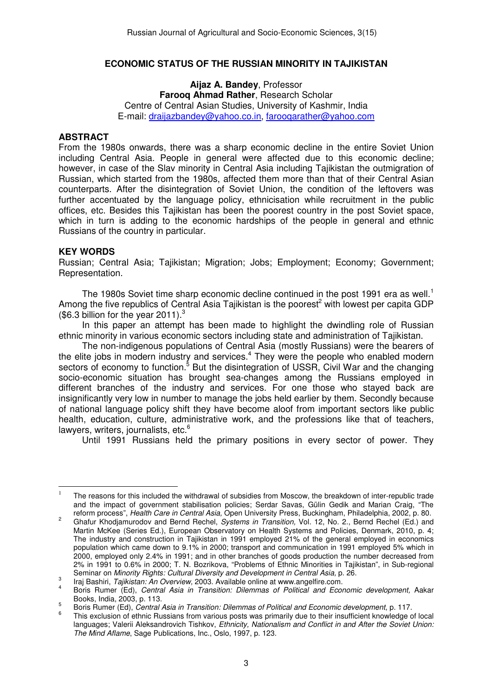## **ECONOMIC STATUS OF THE RUSSIAN MINORITY IN TAJIKISTAN**

**Aijaz A. Bandey**, Professor **Farooq Ahmad Rather**, Research Scholar Centre of Central Asian Studies, University of Kashmir, India E-mail: draijazbandey@yahoo.co.in, farooqarather@yahoo.com

## **ABSTRACT**

From the 1980s onwards, there was a sharp economic decline in the entire Soviet Union including Central Asia. People in general were affected due to this economic decline; however, in case of the Slav minority in Central Asia including Tajikistan the outmigration of Russian, which started from the 1980s, affected them more than that of their Central Asian counterparts. After the disintegration of Soviet Union, the condition of the leftovers was further accentuated by the language policy, ethnicisation while recruitment in the public offices, etc. Besides this Tajikistan has been the poorest country in the post Soviet space, which in turn is adding to the economic hardships of the people in general and ethnic Russians of the country in particular.

## **KEY WORDS**

 $\overline{a}$ 

Russian; Central Asia; Tajikistan; Migration; Jobs; Employment; Economy; Government; Representation.

The 1980s Soviet time sharp economic decline continued in the post 1991 era as well.<sup>1</sup> Among the five republics of Central Asia Tajikistan is the poorest<sup>2</sup> with lowest per capita GDP (\$6.3 billion for the year 2011). $3$ 

In this paper an attempt has been made to highlight the dwindling role of Russian ethnic minority in various economic sectors including state and administration of Tajikistan.

The non-indigenous populations of Central Asia (mostly Russians) were the bearers of the elite jobs in modern industry and services.<sup>4</sup> They were the people who enabled modern sectors of economy to function.<sup>5</sup> But the disintegration of USSR, Civil War and the changing socio-economic situation has brought sea-changes among the Russians employed in different branches of the industry and services. For one those who stayed back are insignificantly very low in number to manage the jobs held earlier by them. Secondly because of national language policy shift they have become aloof from important sectors like public health, education, culture, administrative work, and the professions like that of teachers, lawyers, writers, journalists, etc. $6$ 

Until 1991 Russians held the primary positions in every sector of power. They

<sup>1</sup> The reasons for this included the withdrawal of subsidies from Moscow, the breakdown of inter-republic trade and the impact of government stabilisation policies; Serdar Savas, Gülin Gedik and Marian Craig, "The reform process", Health Care in Central Asia, Open University Press, Buckingham, Philadelphia, 2002, p. 80.

 $\overline{2}$  Ghafur Khodjamurodov and Bernd Rechel, Systems in Transition, Vol. 12, No. 2., Bernd Rechel (Ed.) and Martin McKee (Series Ed.), European Observatory on Health Systems and Policies, Denmark, 2010, p. 4; The industry and construction in Tajikistan in 1991 employed 21% of the general employed in economics population which came down to 9.1% in 2000; transport and communication in 1991 employed 5% which in 2000, employed only 2.4% in 1991; and in other branches of goods production the number decreased from 2% in 1991 to 0.6% in 2000; T. N. Bozrikova, "Problems of Ethnic Minorities in Tajikistan", in Sub-regional Seminar on Minority Rights: Cultural Diversity and Development in Central Asia, p. 26.

<sup>3</sup> Iraj Bashiri, Tajikistan: An Overview, 2003. Available online at www.angelfire.com.

<sup>4</sup> Boris Rumer (Ed), Central Asia in Transition: Dilemmas of Political and Economic development, Aakar Books, India, 2003, p. 113. 5

Boris Rumer (Ed), Central Asia in Transition: Dilemmas of Political and Economic development, p. 117.

<sup>6</sup> This exclusion of ethnic Russians from various posts was primarily due to their insufficient knowledge of local languages; Valerii Aleksandrovich Tishkov, Ethnicity, Nationalism and Conflict in and After the Soviet Union: The Mind Aflame, Sage Publications, Inc., Oslo, 1997, p. 123.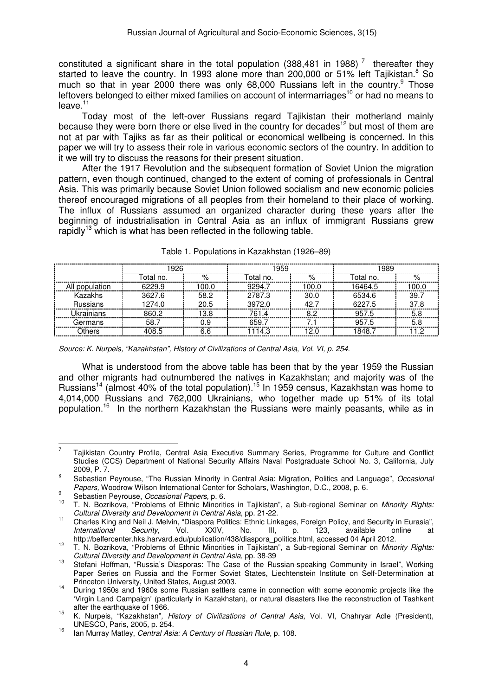constituted a significant share in the total population (388,481 in 1988)<sup>7</sup> thereafter they started to leave the country. In 1993 alone more than 200,000 or 51% left Tajikistan.<sup>8</sup> So much so that in year 2000 there was only 68,000 Russians left in the country. $9$  Those leftovers belonged to either mixed families on account of intermarriages<sup>10</sup> or had no means to  $leave.<sup>11</sup>$ 

Today most of the left-over Russians regard Tajikistan their motherland mainly because they were born there or else lived in the country for decades<sup>12</sup> but most of them are not at par with Tajiks as far as their political or economical wellbeing is concerned. In this paper we will try to assess their role in various economic sectors of the country. In addition to it we will try to discuss the reasons for their present situation.

After the 1917 Revolution and the subsequent formation of Soviet Union the migration pattern, even though continued, changed to the extent of coming of professionals in Central Asia. This was primarily because Soviet Union followed socialism and new economic policies thereof encouraged migrations of all peoples from their homeland to their place of working. The influx of Russians assumed an organized character during these years after the beginning of industrialisation in Central Asia as an influx of immigrant Russians grew rapidly<sup>13</sup> which is what has been reflected in the following table.

|                 | 1926      |       | 1959      |       | 1989      |               |  |
|-----------------|-----------|-------|-----------|-------|-----------|---------------|--|
|                 | Total no. | %     | Total no. | %     | Total no. | $\frac{0}{c}$ |  |
| All population  | 6229.9    | 100.0 | 9294.7    | 100.0 | 16464.5   | 100.0         |  |
| Kazakhs         | 3627.6    | 58.2  | 2787.3    | 30.0  | 6534.6    | 39.7          |  |
| <b>Russians</b> | 1274.0    | 20.5  | 3972.0    | 42.7  | 6227.5    | 37.8          |  |
| Ukrainians      | 860.2     | 13.8  | 761.4     | 82    | 957.5     | 5.8           |  |
| Germans         | 58.7      |       | 659.7     |       | 957.5     |               |  |
| ດthers          | 408 5     | 6 R   | 1114.3    | 12 በ  | 1848 7    |               |  |

Table 1. Populations in Kazakhstan (1926–89)

Source: K. Nurpeis, "Kazakhstan", History of Civilizations of Central Asia, Vol. VI, p. 254.

What is understood from the above table has been that by the year 1959 the Russian and other migrants had outnumbered the natives in Kazakhstan; and majority was of the Russians<sup>14</sup> (almost 40% of the total population).<sup>15</sup> In 1959 census, Kazakhstan was home to 4,014,000 Russians and 762,000 Ukrainians, who together made up 51% of its total population.<sup>16</sup> In the northern Kazakhstan the Russians were mainly peasants, while as in

 $\overline{a}$ 

<sup>7</sup> Tajikistan Country Profile, Central Asia Executive Summary Series, Programme for Culture and Conflict Studies (CCS) Department of National Security Affairs Naval Postgraduate School No. 3, California, July 2009, P. 7.

<sup>8</sup> Sebastien Peyrouse, "The Russian Minority in Central Asia: Migration, Politics and Language", Occasional Papers, Woodrow Wilson International Center for Scholars, Washington, D.C., 2008, p. 6.  $\mathsf{q}$ 

 $\frac{9}{10}$  Sebastien Peyrouse, *Occasional Papers*, p. 6.

T. N. Bozrikova, "Problems of Ethnic Minorities in Tajikistan", a Sub-regional Seminar on Minority Rights: Cultural Diversity and Development in Central Asia, pp. 21-22.

<sup>11</sup> Charles King and Neil J. Melvin, "Diaspora Politics: Ethnic Linkages, Foreign Policy, and Security in Eurasia", International Security, Vol. XXIV, No. III, p. 123, available online at http://belfercenter.hks.harvard.edu/publication/438/diaspora\_politics.html, accessed 04 April 2012.

<sup>&</sup>lt;sup>12</sup> T. N. Bozrikova, "Problems of Ethnic Minorities in Tajikistan", a Sub-regional Seminar on *Minority Rights:* Cultural Diversity and Development in Central Asia, pp. 38-39

<sup>13</sup> Stefani Hoffman, "Russia's Diasporas: The Case of the Russian-speaking Community in Israel", Working Paper Series on Russia and the Former Soviet States, Liechtenstein Institute on Self-Determination at Princeton University, United States, August 2003.

<sup>14</sup> During 1950s and 1960s some Russian settlers came in connection with some economic projects like the 'Virgin Land Campaign' (particularly in Kazakhstan), or natural disasters like the reconstruction of Tashkent after the earthquake of 1966.

<sup>15</sup> K. Nurpeis, "Kazakhstan", History of Civilizations of Central Asia, Vol. VI, Chahryar Adle (President), UNESCO, Paris, 2005, p. 254.

<sup>&</sup>lt;sup>16</sup> Ian Murray Matley, *Central Asia: A Century of Russian Rule, p.* 108.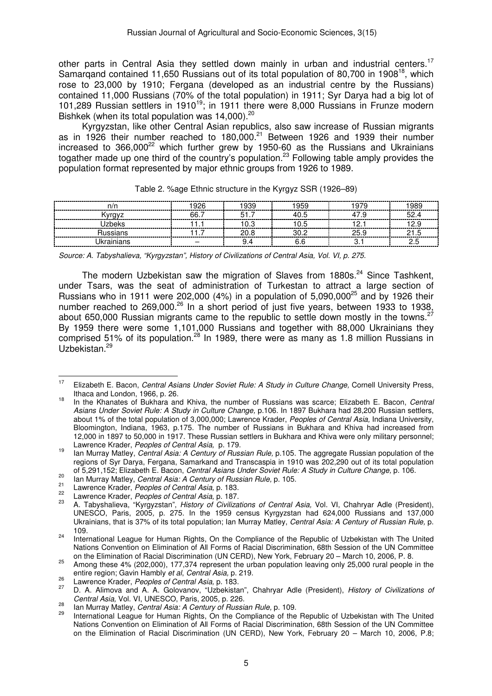other parts in Central Asia they settled down mainly in urban and industrial centers.<sup>17</sup> Samargand contained 11,650 Russians out of its total population of 80,700 in 1908<sup>18</sup>, which rose to 23,000 by 1910; Fergana (developed as an industrial centre by the Russians) contained 11,000 Russians (70% of the total population) in 1911; Syr Darya had a big lot of 101,289 Russian settlers in 1910<sup>19</sup>; in 1911 there were 8,000 Russians in Frunze modern Bishkek (when its total population was 14,000).<sup>20</sup>

Kyrgyzstan, like other Central Asian republics, also saw increase of Russian migrants as in 1926 their number reached to 180,000.<sup>21</sup> Between 1926 and 1939 their number increased to  $366,000^{22}$  which further grew by 1950-60 as the Russians and Ukrainians togather made up one third of the country's population.<sup>23</sup> Following table amply provides the population format represented by major ethnic groups from 1926 to 1989.

| n/r                                   | OOR | aao | ақс                          | 989    |
|---------------------------------------|-----|-----|------------------------------|--------|
|                                       | ิคล |     |                              |        |
| ∩≏k<br>-----------------<br>--------- |     | .   | -----------                  | ------ |
|                                       |     |     |                              |        |
|                                       |     |     | ------------<br>------------ |        |

|  |  |  | Table 2. %age Ethnic structure in the Kyrgyz SSR (1926–89) |
|--|--|--|------------------------------------------------------------|

Source: A. Tabyshalieva, "Kyrgyzstan", History of Civilizations of Central Asia, Vol. VI, p. 275.

The modern Uzbekistan saw the migration of Slaves from 1880s. $^{24}$  Since Tashkent, under Tsars, was the seat of administration of Turkestan to attract a large section of Russians who in 1911 were 202,000 (4%) in a population of 5,090,000<sup>25</sup> and by 1926 their number reached to 269,000.<sup>26</sup> In a short period of just five years, between 1933 to 1938, about 650,000 Russian migrants came to the republic to settle down mostly in the towns.<sup>27</sup> By 1959 there were some 1,101,000 Russians and together with 88,000 Ukrainians they comprised 51% of its population.<sup>28</sup> In 1989, there were as many as 1.8 million Russians in Uzbekistan.<sup>29</sup>

<sup>&</sup>lt;sup>17</sup> Elizabeth E. Bacon, *Central Asians Under Soviet Rule: A Study in Culture Change*, Cornell University Press, Ithaca and London, 1966, p. 26.

<sup>&</sup>lt;sup>18</sup> In the Khanates of Bukhara and Khiva, the number of Russians was scarce; Elizabeth E. Bacon, *Central* Asians Under Soviet Rule: A Study in Culture Change, p.106. In 1897 Bukhara had 28,200 Russian settlers, about 1% of the total population of 3,000,000; Lawrence Krader, Peoples of Central Asia, Indiana University, Bloomington, Indiana, 1963, p.175. The number of Russians in Bukhara and Khiva had increased from 12,000 in 1897 to 50,000 in 1917. These Russian settlers in Bukhara and Khiva were only military personnel; Lawrence Krader, Peoples of Central Asia, p. 179.

<sup>&</sup>lt;sup>19</sup> Ian Murray Matley, *Central Asia: A Century of Russian Rule,* p.105. The aggregate Russian population of the regions of Syr Darya, Fergana, Samarkand and Transcaspia in 1910 was 202,290 out of its total population of 5,291,152; Elizabeth E. Bacon, Central Asians Under Soviet Rule: A Study in Culture Change, p. 106.

<sup>20</sup> Ian Murray Matley, Central Asia: A Century of Russian Rule, p. 105.<br>
Law Matley, Central Asia: A Century of Russian Rule, p. 105.

<sup>&</sup>lt;sup>21</sup> Lawrence Krader, *Peoples of Central Asia*, p. 183.

<sup>&</sup>lt;sup>22</sup> Lawrence Krader, *Peoples of Central Asia*, p. 187.

A. Tabyshalieva, "Kyrgyzstan", History of Civilizations of Central Asia, Vol. VI, Chahryar Adle (President), UNESCO, Paris, 2005, p. 275. In the 1959 census Kyrgyzstan had 624,000 Russians and 137,000 Ukrainians, that is 37% of its total population; Ian Murray Matley, Central Asia: A Century of Russian Rule, p. 109.

<sup>&</sup>lt;sup>24</sup> International League for Human Rights, On the Compliance of the Republic of Uzbekistan with The United Nations Convention on Elimination of All Forms of Racial Discrimination, 68th Session of the UN Committee on the Elimination of Racial Discrimination (UN CERD), New York, February 20 – March 10, 2006, P. 8.

<sup>&</sup>lt;sup>25</sup> Among these 4% (202,000), 177,374 represent the urban population leaving only 25,000 rural people in the entire region; Gavin Hambly et al, Central Asia, p. 219.

<sup>&</sup>lt;sup>26</sup> Lawrence Krader, *Peoples of Central Asia*, p. 183.<br><sup>27</sup> D. A. Alimeters of Central Asia, p. 183.

D. A. Alimova and A. A. Golovanov, "Uzbekistan", Chahryar Adle (President), History of Civilizations of Central Asia, Vol. VI, UNESCO, Paris, 2005, p. 226.

 $\frac{28}{29}$  Ian Murray Matley, Central Asia: A Century of Russian Rule, p. 109.

<sup>29</sup> International League for Human Rights, On the Compliance of the Republic of Uzbekistan with The United Nations Convention on Elimination of All Forms of Racial Discrimination, 68th Session of the UN Committee on the Elimination of Racial Discrimination (UN CERD), New York, February 20 – March 10, 2006, P.8;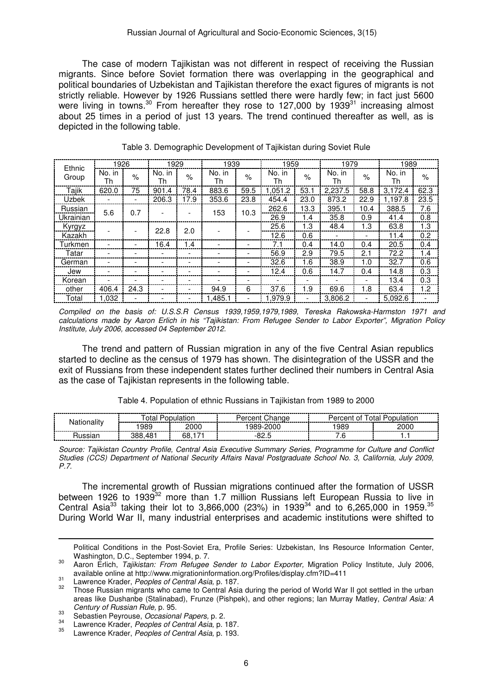The case of modern Tajikistan was not different in respect of receiving the Russian migrants. Since before Soviet formation there was overlapping in the geographical and political boundaries of Uzbekistan and Tajikistan therefore the exact figures of migrants is not strictly reliable. However by 1926 Russians settled there were hardly few; in fact just 5600 were living in towns.<sup>30</sup> From hereafter they rose to 127,000 by 1939<sup>31</sup> increasing almost about 25 times in a period of just 13 years. The trend continued thereafter as well, as is depicted in the following table.

| Ethnic       | 1926                     |      | 1929         |      | 1939         |      | 1959         |      | 1979         |      | 1989         |      |      |     |
|--------------|--------------------------|------|--------------|------|--------------|------|--------------|------|--------------|------|--------------|------|------|-----|
| Group        | No. in<br>Th             | $\%$ | No. in<br>Th | $\%$ | No. in<br>Th | $\%$ | No. in<br>Th | $\%$ | No. in<br>Th | $\%$ | No. in<br>Th | $\%$ |      |     |
| Tajik        | 620.0                    | 75   | 901.4        | 78.4 | 883.6        | 59.5 | 1.051.2      | 53.  | 2.237.5      | 58.8 | 3.172.4      | 62.3 |      |     |
| <b>Uzbek</b> |                          |      | 206.3        | 17.9 | 353.6        | 23.8 | 454.4        | 23.0 | 873.2        | 22.9 | 1.197.8      | 23.5 |      |     |
| Russian      | 5.6                      | 0.7  |              |      | 153          | 10.3 | 262.6        | 13.3 | 395.1        | 10.4 | 388.5        | 7.6  |      |     |
| Ukrainian    |                          |      |              |      |              |      | 26.9         | 1.4  | 35.8         | 0.9  | 41.4         | 0.8  |      |     |
| Kyrgyz       |                          |      | 22.8         | 2.0  |              |      | 25.6         | 1.3  | 48.4         | 1.3  | 63.8         | 1.3  |      |     |
| Kazakh       |                          |      |              |      |              |      |              |      | 12.6         | 0.6  |              |      | 11.4 | 0.2 |
| Turkmen      | $\overline{\phantom{a}}$ |      | 16.4         | 1.4  |              | ۰    | 7.1          | 0.4  | 14.0         | 0.4  | 20.5         | 0.4  |      |     |
| Tatar        |                          |      |              |      |              |      | 56.9         | 2.9  | 79.5         | 2.1  | 72.2         | 1.4  |      |     |
| German       |                          |      |              |      |              |      | 32.6         | 1.6  | 38.9         | 1.0  | 32.7         | 0.6  |      |     |
| Jew          | $\overline{\phantom{a}}$ |      |              |      |              |      | 12.4         | 0.6  | 14.7         | 0.4  | 14.8         | 0.3  |      |     |
| Korean       |                          |      |              |      |              |      |              |      |              |      | 13.4         | 0.3  |      |     |
| other        | 406.4                    | 24.3 |              |      | 94.9         | 6    | 37.6         | 1.9  | 69.6         | 1.8  | 63.4         | 1.2  |      |     |
| Total        | 1.032                    |      |              |      | 485.1. ا     |      | .979.9       |      | 3.806.2      |      | 5.092.6      |      |      |     |

| Table 3. Demographic Development of Tajikistan during Soviet Rule |  |
|-------------------------------------------------------------------|--|
|-------------------------------------------------------------------|--|

Compiled on the basis of: U.S.S.R Census 1939,1959,1979,1989, Tereska Rakowska-Harmston 1971 and calculations made by Aaron Erlich in his "Tajikistan: From Refugee Sender to Labor Exporter", Migration Policy Institute, July 2006, accessed 04 September 2012.

The trend and pattern of Russian migration in any of the five Central Asian republics started to decline as the census of 1979 has shown. The disintegration of the USSR and the exit of Russians from these independent states further declined their numbers in Central Asia as the case of Tajikistan represents in the following table.

| Table 4. Population of ethnic Russians in Tajikistan from 1989 to 2000 |  |  |  |  |  |
|------------------------------------------------------------------------|--|--|--|--|--|
|------------------------------------------------------------------------|--|--|--|--|--|

| -------------<br>______ |  |                                                                                                                                                                                                                                     | -------------                             | --------------------<br>-----------------------<br>--------<br>_________ |  |  |
|-------------------------|--|-------------------------------------------------------------------------------------------------------------------------------------------------------------------------------------------------------------------------------------|-------------------------------------------|--------------------------------------------------------------------------|--|--|
|                         |  | ---------                                                                                                                                                                                                                           | -----------------------<br>-------------- | 989<br>---------<br>-------                                              |  |  |
|                         |  | ״<br>and the contract of the contract of the contract of the contract of the contract of the contract of the contract of the contract of the contract of the contract of the contract of the contract of the contract of the contra |                                           |                                                                          |  |  |

Source: Tajikistan Country Profile, Central Asia Executive Summary Series, Programme for Culture and Conflict Studies (CCS) Department of National Security Affairs Naval Postgraduate School No. 3, California, July 2009, P.7.

The incremental growth of Russian migrations continued after the formation of USSR between 1926 to 1939<sup>32</sup> more than 1.7 million Russians left European Russia to live in Central Asia<sup>33</sup> taking their lot to 3,866,000 (23%) in 1939<sup>34</sup> and to 6,265,000 in 1959.<sup>35</sup> During World War II, many industrial enterprises and academic institutions were shifted to

Political Conditions in the Post-Soviet Era, Profile Series: Uzbekistan, Ins Resource Information Center, Washington, D.C., September 1994, p. 7.

<sup>&</sup>lt;sup>30</sup> Aaron Erlich, Tajikistan: From Refugee Sender to Labor Exporter, Migration Policy Institute, July 2006, available online at http://www.migrationinformation.org/Profiles/display.cfm?ID=411

 $31$  Lawrence Krader, *Peoples of Central Asia*, p. 187.

Those Russian migrants who came to Central Asia during the period of World War II got settled in the urban areas like Dushanbe (Stalinabad), Frunze (Pishpek), and other regions; Ian Murray Matley, Central Asia: A Century of Russian Rule, p. 95.

 $\frac{33}{34}$  Sebastien Peyrouse, *Occasional Papers*, p. 2.

<sup>&</sup>lt;sup>34</sup> Lawrence Krader, *Peoples of Central Asia*, p. 187.

Lawrence Krader, Peoples of Central Asia, p. 193.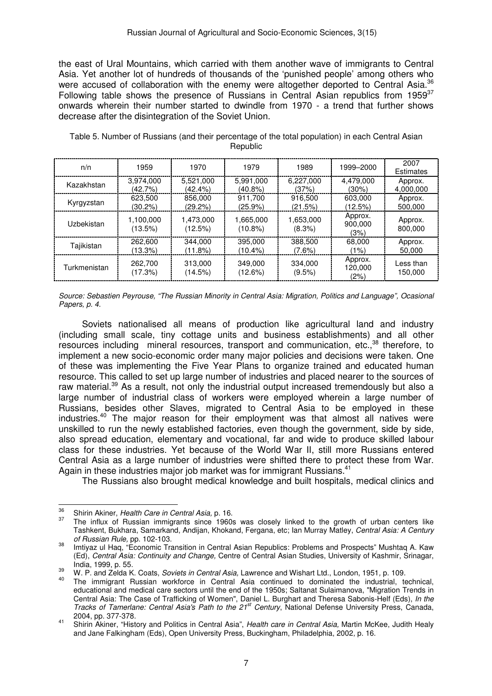the east of Ural Mountains, which carried with them another wave of immigrants to Central Asia. Yet another lot of hundreds of thousands of the 'punished people' among others who were accused of collaboration with the enemy were altogether deported to Central Asia.<sup>36</sup> Following table shows the presence of Russians in Central Asian republics from 1959 $37$ onwards wherein their number started to dwindle from 1970 - a trend that further shows decrease after the disintegration of the Soviet Union.

| n/n          | 1959                 | 1970                 | 1979                    | 1989                   | 1999-2000                  | 2007<br>Estimates    |
|--------------|----------------------|----------------------|-------------------------|------------------------|----------------------------|----------------------|
| Kazakhstan   | 3,974,000            | 5.521.000            | 5.991.000               | 6.227.000              | 4.479.000                  | Approx.              |
|              | (42.7%)              | (42.4%)              | $(40.8\%)$              | (37%)                  | $(30\%)$                   | 4,000,000            |
| Kyrgyzstan   | 623.500              | 856,000              | 911,700                 | 916.500                | 603.000                    | Approx.              |
|              | $(30.2\%)$           | $(29.2\%)$           | $(25.9\%)$              | (21.5%)                | (12.5%)                    | 500,000              |
| Uzbekistan   | 1.100.000<br>(13.5%) | 1.473.000<br>(12.5%) | 1.665.000<br>$(10.8\%)$ | 1.653.000<br>$(8.3\%)$ | Approx.<br>900,000<br>(3%) | Approx.<br>800.000   |
| Tajikistan   | 262,600              | 344.000              | 395,000                 | 388,500                | 68,000                     | Approx.              |
|              | (13.3%)              | (11.8%)              | $(10.4\%)$              | (7.6%)                 | $(1\%)$                    | 50,000               |
| Turkmenistan | 262,700<br>(17.3%)   | 313,000<br>(14.5%)   | 349,000<br>(12.6%)      | 334,000<br>$(9.5\%)$   | Approx.<br>120,000<br>(2%) | Less than<br>150.000 |

Table 5. Number of Russians (and their percentage of the total population) in each Central Asian **Republic** 

Source: Sebastien Peyrouse, "The Russian Minority in Central Asia: Migration, Politics and Language", Ocasional Papers, p. 4.

Soviets nationalised all means of production like agricultural land and industry (including small scale, tiny cottage units and business establishments) and all other resources including mineral resources, transport and communication, etc.,<sup>38</sup> therefore, to implement a new socio-economic order many major policies and decisions were taken. One of these was implementing the Five Year Plans to organize trained and educated human resource. This called to set up large number of industries and placed nearer to the sources of raw material.<sup>39</sup> As a result, not only the industrial output increased tremendously but also a large number of industrial class of workers were employed wherein a large number of Russians, besides other Slaves, migrated to Central Asia to be employed in these industries.<sup>40</sup> The major reason for their employment was that almost all natives were unskilled to run the newly established factories, even though the government, side by side, also spread education, elementary and vocational, far and wide to produce skilled labour class for these industries. Yet because of the World War II, still more Russians entered Central Asia as a large number of industries were shifted there to protect these from War. Again in these industries major job market was for immigrant Russians.<sup>41</sup>

The Russians also brought medical knowledge and built hospitals, medical clinics and

 $\overline{a}$ 

 $\frac{36}{37}$  Shirin Akiner, Health Care in Central Asia, p. 16.

The influx of Russian immigrants since 1960s was closely linked to the growth of urban centers like Tashkent, Bukhara, Samarkand, Andijan, Khokand, Fergana, etc; Ian Murray Matley, Central Asia: A Century of Russian Rule, pp. 102-103.

<sup>38</sup> Imtiyaz ul Haq, "Economic Transition in Central Asian Republics: Problems and Prospects" Mushtaq A. Kaw (Ed), Central Asia: Continuity and Change, Centre of Central Asian Studies, University of Kashmir, Srinagar, India, 1999, p. 55.

<sup>39</sup> W. P. and Zelda K. Coats, *Soviets in Central Asia*, Lawrence and Wishart Ltd., London, 1951, p. 109.

The immigrant Russian workforce in Central Asia continued to dominated the industrial, technical, educational and medical care sectors until the end of the 1950s; Saltanat Sulaimanova, "Migration Trends in Central Asia: The Case of Trafficking of Women", Daniel L. Burghart and Theresa Sabonis-Helf (Eds), In the Tracks of Tamerlane: Central Asia's Path to the 21<sup>st</sup> Century, National Defense University Press, Canada, 2004, pp. 377-378.

<sup>41</sup> Shirin Akiner, "History and Politics in Central Asia", Health care in Central Asia, Martin McKee, Judith Healy and Jane Falkingham (Eds), Open University Press, Buckingham, Philadelphia, 2002, p. 16.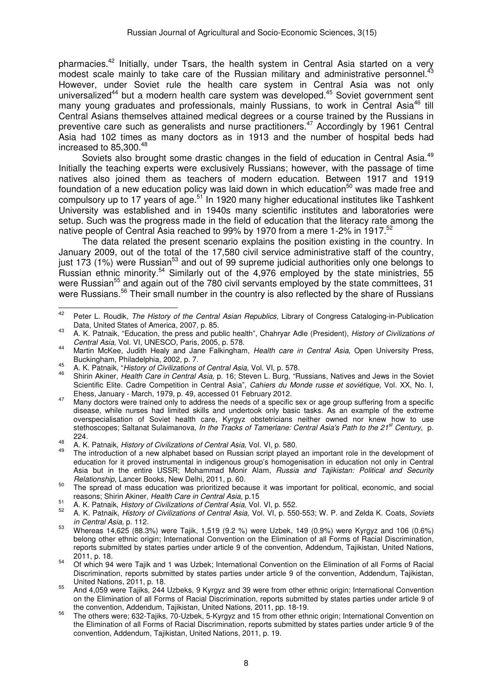pharmacies.<sup>42</sup> Initially, under Tsars, the health system in Central Asia started on a very modest scale mainly to take care of the Russian military and administrative personnel.<sup>43</sup> However, under Soviet rule the health care system in Central Asia was not only universalized<sup>44</sup> but a modern health care system was developed.<sup>45</sup> Soviet government sent many young graduates and professionals, mainly Russians, to work in Central Asia<sup>46</sup> till Central Asians themselves attained medical degrees or a course trained by the Russians in preventive care such as generalists and nurse practitioners.<sup>47</sup> Accordingly by 1961 Central Asia had 102 times as many doctors as in 1913 and the number of hospital beds had increased to 85,300. $48$ 

Soviets also brought some drastic changes in the field of education in Central Asia.<sup>49</sup> Initially the teaching experts were exclusively Russians; however, with the passage of time natives also joined them as teachers of modern education. Between 1917 and 1919 foundation of a new education policy was laid down in which education<sup>50</sup> was made free and compulsory up to 17 years of  $a\overline{g}e^{51}$  In 1920 many higher educational institutes like Tashkent University was established and in 1940s many scientific institutes and laboratories were setup. Such was the progress made in the field of education that the literacy rate among the native people of Central Asia reached to 99% by 1970 from a mere 1-2% in 1917.<sup>52</sup>

The data related the present scenario explains the position existing in the country. In January 2009, out of the total of the 17,580 civil service administrative staff of the country, just 173 (1%) were Russian<sup>53</sup> and out of 99 supreme judicial authorities only one belongs to Russian ethnic minority.<sup>54</sup> Similarly out of the 4,976 employed by the state ministries, 55 were Russian<sup>55</sup> and again out of the 780 civil servants employed by the state committees, 31 were Russians.<sup>56</sup> Their small number in the country is also reflected by the share of Russians

<sup>&</sup>lt;sup>42</sup> Peter L. Roudik, The History of the Central Asian Republics, Library of Congress Cataloging-in-Publication Data, United States of America, 2007, p. 85.

<sup>43</sup> A. K. Patnaik, "Education, the press and public health", Chahryar Adle (President), History of Civilizations of Central Asia, Vol. VI, UNESCO, Paris, 2005, p. 578.

<sup>44</sup> Martin McKee, Judith Healy and Jane Falkingham, Health care in Central Asia, Open University Press, Buckingham, Philadelphia, 2002, p. 7.

<sup>45</sup> Buckingham, Thiladelphia, 2002, p. 7.<br>46 A. K. Patnaik, "History of Civilizations of Central Asia, Vol. VI, p. 578.

<sup>&</sup>lt;sup>46</sup> Shirin Akiner, Health Care in Central Asia, p. 16; Steven L. Burg, "Russians, Natives and Jews in the Soviet Scientific Elite. Cadre Competition in Central Asia", *Cahiers du Monde russe et soviétique*, Vol. XX, No. I, Ehess, January - March, 1979, p. 49, accessed 01 February 2012.

Many doctors were trained only to address the needs of a specific sex or age group suffering from a specific disease, while nurses had limited skills and undertook only basic tasks. As an example of the extreme overspecialisation of Soviet health care, Kyrgyz obstetricians neither owned nor knew how to use stethoscopes; Saltanat Sulaimanova, In the Tracks of Tamerlane: Central Asia's Path to the 21<sup>st</sup> Century, p. 224.

<sup>48</sup> A. K. Patnaik, History of Civilizations of Central Asia, Vol. VI, p. 580.

The introduction of a new alphabet based on Russian script played an important role in the development of education for it proved instrumental in indigenous group's homogenisation in education not only in Central Asia but in the entire USSR; Mohammad Monir Alam, Russia and Tajikistan: Political and Security Relationship, Lancer Books, New Delhi, 2011, p. 60.

<sup>&</sup>lt;sup>50</sup> The spread of mass education was prioritized because it was important for political, economic, and social reasons; Shirin Akiner, Health Care in Central Asia, p.15

<sup>&</sup>lt;sup>51</sup> A. K. Patnaik, *History of Civilizations of Central Asia*, Vol. VI, p. 552.

<sup>52</sup> A. K. Patnaik, History of Civilizations of Central Asia, Vol. VI, p. 550-553; W. P. and Zelda K. Coats, Soviets in Central Asia, p. 112.

 $^{53}$  Whereas 14,625 (88.3%) were Tajik, 1,519 (9.2 %) were Uzbek, 149 (0.9%) were Kyrgyz and 106 (0.6%) belong other ethnic origin; International Convention on the Elimination of all Forms of Racial Discrimination, reports submitted by states parties under article 9 of the convention, Addendum, Tajikistan, United Nations, 2011, p. 18.

<sup>54</sup> Of which 94 were Tajik and 1 was Uzbek; International Convention on the Elimination of all Forms of Racial Discrimination, reports submitted by states parties under article 9 of the convention, Addendum, Tajikistan, United Nations, 2011, p. 18.

<sup>55</sup> And 4,059 were Tajiks, 244 Uzbeks, 9 Kyrgyz and 39 were from other ethnic origin; International Convention on the Elimination of all Forms of Racial Discrimination, reports submitted by states parties under article 9 of the convention, Addendum, Tajikistan, United Nations, 2011, pp. 18-19.

<sup>&</sup>lt;sup>56</sup> The other were; 632-Tajiks, 70-Uzbek, 5-Kyrgyz and 15 from other ethnic origin; International Convention on the Elimination of all Forms of Racial Discrimination, reports submitted by states parties under article 9 of the convention, Addendum, Tajikistan, United Nations, 2011, p. 19.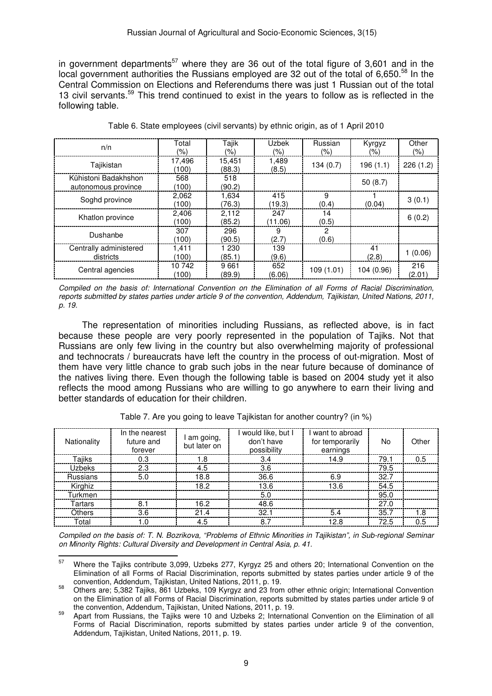in government departments<sup>57</sup> where they are 36 out of the total figure of 3,601 and in the local government authorities the Russians employed are 32 out of the total of 6,650.<sup>58</sup> In the Central Commission on Elections and Referendums there was just 1 Russian out of the total 13 civil servants.<sup>59</sup> This trend continued to exist in the years to follow as is reflected in the following table.

| n/n                                         | Total<br>(%)    | Tajik<br>(%)     | <b>Uzbek</b><br>(%) | Russian<br>(%) | Kyrgyz<br>$(\% )$ | Other<br>$(\% )$ |
|---------------------------------------------|-----------------|------------------|---------------------|----------------|-------------------|------------------|
| Tajikistan                                  | 17.496<br>(100) | 15.451<br>(88.3) | 1,489<br>(8.5)      | 134(0.7)       | 196(1.1)          | 226(1.2)         |
| Kŭhistoni Badakhshon<br>autonomous province | 568<br>(100)    | 518<br>(90.2)    |                     |                | 50(8.7)           |                  |
| Soghd province                              | 2,062<br>(100)  | 1,634<br>(76.3)  | 415<br>(19.3)       | 9<br>(0.4)     | (0.04)            | 3(0.1)           |
| Khatlon province                            | 2.406<br>(100)  | 2.112<br>(85.2)  | 247<br>(11.06)      | 14<br>(0.5)    |                   | 6(0.2)           |
| Dushanbe                                    | 307<br>(100)    | 296<br>(90.5)    | 9<br>(2.7)          | 2<br>(0.6)     |                   |                  |
| Centrally administered<br>districts         | 1.411<br>(100   | 1 230<br>(85.1)  | 139<br>(9.6)        |                | 41<br>(2.8)       | 1(0.06)          |
| Central agencies                            | 10 742<br>(100) | 9661<br>(89.9)   | 652<br>(6.06)       | 109 (1.01)     | 104 (0.96)        | 216<br>(2.01)    |

Table 6. State employees (civil servants) by ethnic origin, as of 1 April 2010

Compiled on the basis of: International Convention on the Elimination of all Forms of Racial Discrimination, reports submitted by states parties under article 9 of the convention, Addendum, Tajikistan, United Nations, 2011, p. 19.

The representation of minorities including Russians, as reflected above, is in fact because these people are very poorly represented in the population of Tajiks. Not that Russians are only few living in the country but also overwhelming majority of professional and technocrats / bureaucrats have left the country in the process of out-migration. Most of them have very little chance to grab such jobs in the near future because of dominance of the natives living there. Even though the following table is based on 2004 study yet it also reflects the mood among Russians who are willing to go anywhere to earn their living and better standards of education for their children.

| Nationality     | In the nearest<br>future and<br>forever | I am going,<br>but later on | I would like, but I<br>don't have<br>possibility | want to abroad<br>for temporarily<br>earnings | No   | Other |
|-----------------|-----------------------------------------|-----------------------------|--------------------------------------------------|-----------------------------------------------|------|-------|
| Tajiks          | 0.3                                     | l .8                        | 3.4                                              | 14.9                                          | 79.1 | 0.5   |
| Uzbeks          | 23                                      | 4.5                         | 3.6                                              |                                               | 79.5 |       |
| <b>Russians</b> | 5.0                                     | 18.8                        | 36.6                                             | 6.9                                           | 32.7 |       |
| Kirghiz         |                                         | 18 2                        | 13.6                                             | 13.6                                          | 54.5 |       |
| Turkmen         |                                         |                             | 5.0                                              |                                               | 95.0 |       |
| Tartars         |                                         | 16 2                        | 48.6                                             |                                               | 27.0 |       |
| <b>Others</b>   | 3 R                                     | $21\Delta$                  | 32.                                              | 54                                            | 35.7 | 1.8   |
| Total           |                                         | 4.5                         | 8.7                                              | 12 R                                          | 72.5 | 0.5   |

Table 7. Are you going to leave Tajikistan for another country? (in %)

Compiled on the basis of: T. N. Bozrikova, "Problems of Ethnic Minorities in Tajikistan", in Sub-regional Seminar on Minority Rights: Cultural Diversity and Development in Central Asia, p. 41.  $\overline{a}$ 

<sup>&</sup>lt;sup>57</sup> Where the Tajiks contribute 3,099, Uzbeks 277, Kyrgyz 25 and others 20; International Convention on the Elimination of all Forms of Racial Discrimination, reports submitted by states parties under article 9 of the convention, Addendum, Tajikistan, United Nations, 2011, p. 19.

<sup>58</sup> Others are; 5,382 Tajiks, 861 Uzbeks, 109 Kyrgyz and 23 from other ethnic origin; International Convention on the Elimination of all Forms of Racial Discrimination, reports submitted by states parties under article 9 of the convention, Addendum, Tajikistan, United Nations, 2011, p. 19.

Apart from Russians, the Tajiks were 10 and Uzbeks 2; International Convention on the Elimination of all Forms of Racial Discrimination, reports submitted by states parties under article 9 of the convention, Addendum, Tajikistan, United Nations, 2011, p. 19.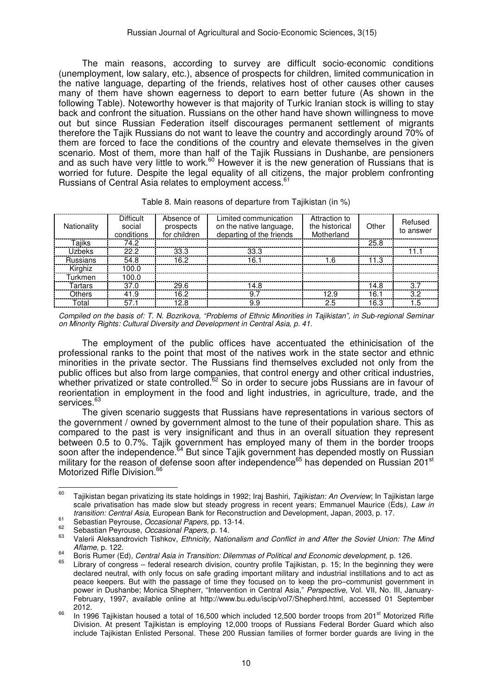The main reasons, according to survey are difficult socio-economic conditions (unemployment, low salary, etc.), absence of prospects for children, limited communication in the native language, departing of the friends, relatives host of other causes other causes many of them have shown eagerness to deport to earn better future (As shown in the following Table). Noteworthy however is that majority of Turkic Iranian stock is willing to stay back and confront the situation. Russians on the other hand have shown willingness to move out but since Russian Federation itself discourages permanent settlement of migrants therefore the Tajik Russians do not want to leave the country and accordingly around 70% of them are forced to face the conditions of the country and elevate themselves in the given scenario. Most of them, more than half of the Tajik Russians in Dushanbe, are pensioners and as such have very little to work.<sup>60</sup> However it is the new generation of Russians that is worried for future. Despite the legal equality of all citizens, the major problem confronting Russians of Central Asia relates to employment access.<sup>61</sup>

| Nationality     | <b>Difficult</b><br>social<br>conditions | Absence of<br>prospects<br>for children | Limited communication<br>on the native language,<br>departing of the friends | Attraction to<br>the historical<br>Motherland | Other | Refused<br>to answer |
|-----------------|------------------------------------------|-----------------------------------------|------------------------------------------------------------------------------|-----------------------------------------------|-------|----------------------|
| Taiiks          | 74.2                                     |                                         |                                                                              |                                               | 25.8  |                      |
| Uzbeks          | 22.2                                     | 33.3                                    | 33.3                                                                         |                                               |       | 11                   |
| <b>Russians</b> | 54.8                                     | 16.2                                    | 16.1                                                                         | 1.6                                           | 11.3  |                      |
| Kirghiz         | 100.0                                    |                                         |                                                                              |                                               |       |                      |
| Turkmen         | 100.0                                    |                                         |                                                                              |                                               |       |                      |
| Tartars         | 37.0                                     | 29.6                                    | 14.8                                                                         |                                               | 14.8  | 3.7                  |
| Others          | 41.9                                     | 16.2                                    | 9.7                                                                          | 12.9                                          | 16.1  | 3.2                  |
| Total           | 57.1                                     | 12.8                                    | 9.9                                                                          | 25                                            | 16.3  | 1.5                  |
|                 |                                          |                                         |                                                                              |                                               |       |                      |

|  |  | Table 8. Main reasons of departure from Tajikistan (in %) |  |  |  |
|--|--|-----------------------------------------------------------|--|--|--|
|  |  |                                                           |  |  |  |

Compiled on the basis of: T. N. Bozrikova, "Problems of Ethnic Minorities in Tajikistan", in Sub-regional Seminar on Minority Rights: Cultural Diversity and Development in Central Asia, p. 41.

The employment of the public offices have accentuated the ethinicisation of the professional ranks to the point that most of the natives work in the state sector and ethnic minorities in the private sector. The Russians find themselves excluded not only from the public offices but also from large companies, that control energy and other critical industries, whether privatized or state controlled.<sup>62</sup> So in order to secure jobs Russians are in favour of reorientation in employment in the food and light industries, in agriculture, trade, and the services.<sup>63</sup>

The given scenario suggests that Russians have representations in various sectors of the government / owned by government almost to the tune of their population share. This as compared to the past is very insignificant and thus in an overall situation they represent between 0.5 to 0.7%. Tajik government has employed many of them in the border troops soon after the independence.<sup>64</sup> But since Tajik government has depended mostly on Russian military for the reason of defense soon after independence<sup>65</sup> has depended on Russian 201<sup>st</sup> Motorized Rifle Division.<sup>66</sup>

 $\overline{a}$ 

 $60$  Tajikistan began privatizing its state holdings in 1992; Iraj Bashiri, Tajikistan: An Overview; In Tajikistan large scale privatisation has made slow but steady progress in recent years; Emmanuel Maurice (Eds), Law in transition: Central Asia, European Bank for Reconstruction and Development, Japan, 2003, p. 17.

<sup>61</sup> Sebastian Peyrouse, Occasional Papers, pp. 13-14.<br>
Sebastian Peyrouse, Occasional Papers, pp. 13-14.

 $^{62}$  Sebastian Peyrouse, Occasional Papers, p. 14.

Valerii Aleksandrovich Tishkov, Ethnicity, Nationalism and Conflict in and After the Soviet Union: The Mind Aflame, p. 122.

 $\frac{64}{100}$  Boris Rumer (Ed), Central Asia in Transition: Dilemmas of Political and Economic development, p. 126.

Library of congress – federal research division, country profile Tajikistan, p. 15; In the beginning they were declared neutral, with only focus on safe grading important military and industrial instillations and to act as peace keepers. But with the passage of time they focused on to keep the pro–communist government in power in Dushanbe; Monica Shepherr, "Intervention in Central Asia," Perspective, Vol. VII, No. III, January-February, 1997, available online at http://www.bu.edu/iscip/vol7/Shepherd.html, accessed 01 September 2012.

 $\frac{66}{10}$  In 1996 Tajikistan housed a total of 16,500 which included 12,500 border troops from 201<sup>st</sup> Motorized Rifle Division. At present Tajikistan is employing 12,000 troops of Russians Federal Border Guard which also include Tajikistan Enlisted Personal. These 200 Russian families of former border guards are living in the